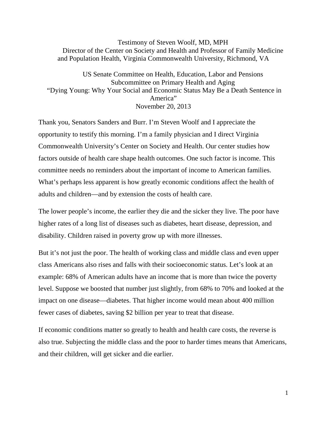# Testimony of Steven Woolf, MD, MPH Director of the Center on Society and Health and Professor of Family Medicine and Population Health, Virginia Commonwealth University, Richmond, VA

US Senate Committee on Health, Education, Labor and Pensions Subcommittee on Primary Health and Aging "Dying Young: Why Your Social and Economic Status May Be a Death Sentence in America" November 20, 2013

Thank you, Senators Sanders and Burr. I'm Steven Woolf and I appreciate the opportunity to testify this morning. I'm a family physician and I direct Virginia Commonwealth University's Center on Society and Health. Our center studies how factors outside of health care shape health outcomes. One such factor is income. This committee needs no reminders about the important of income to American families. What's perhaps less apparent is how greatly economic conditions affect the health of adults and children—and by extension the costs of health care.

The lower people's income, the earlier they die and the sicker they live. The poor have higher rates of a long list of diseases such as diabetes, heart disease, depression, and disability. Children raised in poverty grow up with more illnesses.

But it's not just the poor. The health of working class and middle class and even upper class Americans also rises and falls with their socioeconomic status. Let's look at an example: 68% of American adults have an income that is more than twice the poverty level. Suppose we boosted that number just slightly, from 68% to 70% and looked at the impact on one disease—diabetes. That higher income would mean about 400 million fewer cases of diabetes, saving \$2 billion per year to treat that disease.

If economic conditions matter so greatly to health and health care costs, the reverse is also true. Subjecting the middle class and the poor to harder times means that Americans, and their children, will get sicker and die earlier.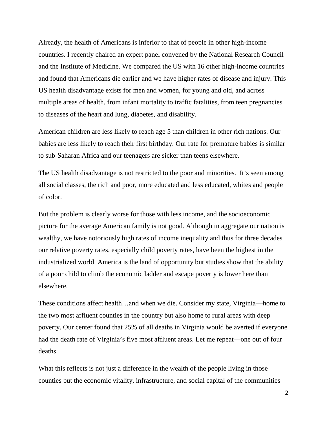Already, the health of Americans is inferior to that of people in other high-income countries. I recently chaired an expert panel convened by the National Research Council and the Institute of Medicine. We compared the US with 16 other high-income countries and found that Americans die earlier and we have higher rates of disease and injury. This US health disadvantage exists for men and women, for young and old, and across multiple areas of health, from infant mortality to traffic fatalities, from teen pregnancies to diseases of the heart and lung, diabetes, and disability.

American children are less likely to reach age 5 than children in other rich nations. Our babies are less likely to reach their first birthday. Our rate for premature babies is similar to sub-Saharan Africa and our teenagers are sicker than teens elsewhere.

The US health disadvantage is not restricted to the poor and minorities. It's seen among all social classes, the rich and poor, more educated and less educated, whites and people of color.

But the problem is clearly worse for those with less income, and the socioeconomic picture for the average American family is not good. Although in aggregate our nation is wealthy, we have notoriously high rates of income inequality and thus for three decades our relative poverty rates, especially child poverty rates, have been the highest in the industrialized world. America is the land of opportunity but studies show that the ability of a poor child to climb the economic ladder and escape poverty is lower here than elsewhere.

These conditions affect health…and when we die. Consider my state, Virginia—home to the two most affluent counties in the country but also home to rural areas with deep poverty. Our center found that 25% of all deaths in Virginia would be averted if everyone had the death rate of Virginia's five most affluent areas. Let me repeat—one out of four deaths.

What this reflects is not just a difference in the wealth of the people living in those counties but the economic vitality, infrastructure, and social capital of the communities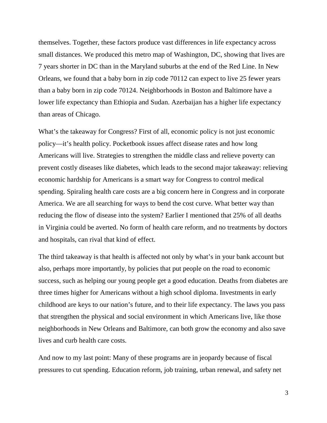themselves. Together, these factors produce vast differences in life expectancy across small distances. We produced this metro map of Washington, DC, showing that lives are 7 years shorter in DC than in the Maryland suburbs at the end of the Red Line. In New Orleans, we found that a baby born in zip code 70112 can expect to live 25 fewer years than a baby born in zip code 70124. Neighborhoods in Boston and Baltimore have a lower life expectancy than Ethiopia and Sudan. Azerbaijan has a higher life expectancy than areas of Chicago.

What's the takeaway for Congress? First of all, economic policy is not just economic policy—it's health policy. Pocketbook issues affect disease rates and how long Americans will live. Strategies to strengthen the middle class and relieve poverty can prevent costly diseases like diabetes, which leads to the second major takeaway: relieving economic hardship for Americans is a smart way for Congress to control medical spending. Spiraling health care costs are a big concern here in Congress and in corporate America. We are all searching for ways to bend the cost curve. What better way than reducing the flow of disease into the system? Earlier I mentioned that 25% of all deaths in Virginia could be averted. No form of health care reform, and no treatments by doctors and hospitals, can rival that kind of effect.

The third takeaway is that health is affected not only by what's in your bank account but also, perhaps more importantly, by policies that put people on the road to economic success, such as helping our young people get a good education. Deaths from diabetes are three times higher for Americans without a high school diploma. Investments in early childhood are keys to our nation's future, and to their life expectancy. The laws you pass that strengthen the physical and social environment in which Americans live, like those neighborhoods in New Orleans and Baltimore, can both grow the economy and also save lives and curb health care costs.

And now to my last point: Many of these programs are in jeopardy because of fiscal pressures to cut spending. Education reform, job training, urban renewal, and safety net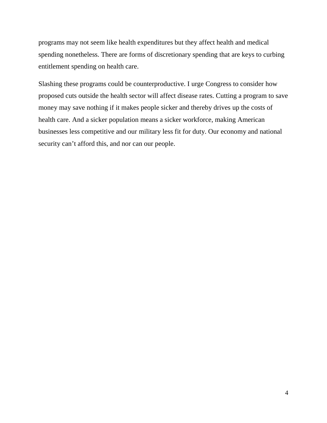programs may not seem like health expenditures but they affect health and medical spending nonetheless. There are forms of discretionary spending that are keys to curbing entitlement spending on health care.

Slashing these programs could be counterproductive. I urge Congress to consider how proposed cuts outside the health sector will affect disease rates. Cutting a program to save money may save nothing if it makes people sicker and thereby drives up the costs of health care. And a sicker population means a sicker workforce, making American businesses less competitive and our military less fit for duty. Our economy and national security can't afford this, and nor can our people.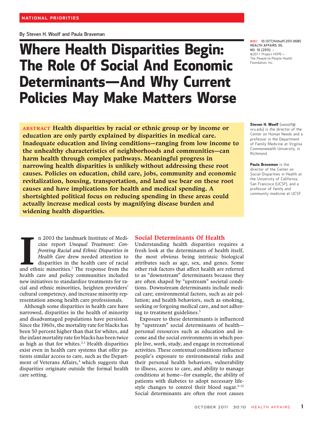By Steven H. Woolf and Paula Braveman

# Where Health Disparities Begin: The Role Of Social And Economic Determinants—And Why Current Policies May Make Matters Worse

ABSTRACT Health disparities by racial or ethnic group or by income or education are only partly explained by disparities in medical care. Inadequate education and living conditions—ranging from low income to the unhealthy characteristics of neighborhoods and communities—can harm health through complex pathways. Meaningful progress in narrowing health disparities is unlikely without addressing these root causes. Policies on education, child care, jobs, community and economic revitalization, housing, transportation, and land use bear on these root causes and have implications for health and medical spending. A shortsighted political focus on reducing spending in these areas could actually increase medical costs by magnifying disease burden and widening health disparities.

DOI: 10.1377/hlthaff.2011.0685 HEALTH AFFAIRS 30, NO. 10 (2011): *–* ©2011 Project HOPE— The People-to-People Health Foundation, Inc.

Steven H. Woolf (swoolf@ vcu.edu) is the director of the Center on Human Needs and a professor in the Department of Family Medicine at Virginia Commonwealth University, in Richmond.

Paula Braveman is the director of the Center on Social Disparities in Health at the University of California, San Francisco (UCSF), and a professor of family and community medicine at UCSF.

n 2003 the landmark Institute of Medicine report *Unequal Treatment: Confronting Racial and Ethnic Disparities in Health Care drew needed attention to disparities in the health care of racial and ethnic minorities.<sup>1</sup> The* n 2003 the landmark Institute of Medicine report Unequal Treatment: Confronting Racial and Ethnic Disparities in Health Care drew needed attention to disparities in the health care of racial health care and policy communities included new initiatives to standardize treatments for racial and ethnic minorities, heighten providers' cultural competency, and increase minority representation among health care professionals.

Although some disparities in health care have narrowed, disparities in the health of minority and disadvantaged populations have persisted. Since the 1960s, the mortality rate for blacks has been 50 percent higher than that for whites, and the infant mortality rate for blacks has been twice as high as that for whites.<sup>2,3</sup> Health disparities exist even in health care systems that offer patients similar access to care, such as the Department of Veterans Affairs,<sup>4</sup> which suggests that disparities originate outside the formal health care setting.

#### Social Determinants Of Health

Understanding health disparities requires a fresh look at the determinants of health itself, the most obvious being intrinsic biological attributes such as age, sex, and genes. Some other risk factors that affect health are referred to as "downstream" determinants because they are often shaped by "upstream" societal conditions. Downstream determinants include medical care; environmental factors, such as air pollution; and health behaviors, such as smoking, seeking or forgoing medical care, and not adhering to treatment guidelines.<sup>5</sup>

Exposure to these determinants is influenced by "upstream" social determinants of health personal resources such as education and income and the social environments in which people live, work, study, and engage in recreational activities. These contextual conditions influence people's exposure to environmental risks and their personal health behaviors, vulnerability to illness, access to care, and ability to manage conditions at home—for example, the ability of patients with diabetes to adopt necessary lifestyle changes to control their blood sugar. $6-12$ Social determinants are often the root causes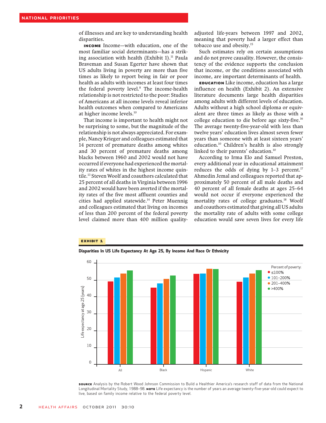of illnesses and are key to understanding health disparities.

Income Income—with education, one of the most familiar social determinants—has a striking association with health (Exhibit 1).<sup>11</sup> Paula Braveman and Susan Egerter have shown that US adults living in poverty are more than five times as likely to report being in fair or poor health as adults with incomes at least four times the federal poverty level.<sup>8</sup> The income-health relationship is not restricted to the poor: Studies of Americans at all income levels reveal inferior health outcomes when compared to Americans at higher income levels.10

That income is important to health might not be surprising to some, but the magnitude of the relationship is not always appreciated. For example, Nancy Krieger and colleagues estimated that 14 percent of premature deaths among whites and 30 percent of premature deaths among blacks between 1960 and 2002 would not have occurred if everyone had experienced the mortality rates of whites in the highest income quintile.13 Steven Woolf and coauthors calculated that 25 percent of all deaths in Virginia between 1996 and 2002 would have been averted if the mortality rates of the five most affluent counties and cities had applied statewide.<sup>14</sup> Peter Muennig and colleagues estimated that living on incomes of less than 200 percent of the federal poverty level claimed more than 400 million qualityadjusted life-years between 1997 and 2002, meaning that poverty had a larger effect than tobacco use and obesity.<sup>15</sup>

Such estimates rely on certain assumptions and do not prove causality. However, the consistency of the evidence supports the conclusion that income, or the conditions associated with income, are important determinants of health.

**EDUCATION** Like income, education has a large influence on health (Exhibit 2). An extensive literature documents large health disparities among adults with different levels of education. Adults without a high school diploma or equivalent are three times as likely as those with a college education to die before age sixty-five.16 The average twenty-five-year-old with less than twelve years' education lives almost seven fewer years than someone with at least sixteen years' education.10 Children's health is also strongly linked to their parents' education.<sup>10</sup>

According to Irma Elo and Samuel Preston, every additional year in educational attainment reduces the odds of dying by  $1-3$  percent.<sup>17</sup> Ahmedin Jemal and colleagues reported that approximately 50 percent of all male deaths and 40 percent of all female deaths at ages 25–64 would not occur if everyone experienced the mortality rates of college graduates.<sup>18</sup> Woolf and coauthors estimated that giving all US adults the mortality rate of adults with some college education would save seven lives for every life



sounce Analysis by the Robert Wood Johnson Commission to Build a Healthier America's research staff of data from the National Longitudinal Mortality Study, 1988–98. NoTE Life expectancy is the number of years an average twenty-five-year-old could expect to live, based on family income relative to the federal poverty level.

Exhibit 1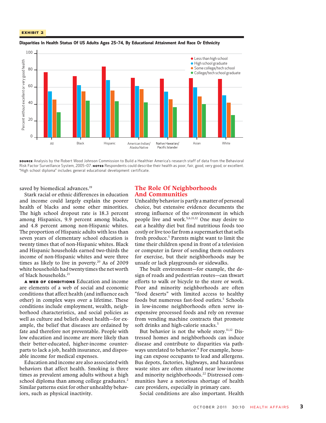#### Exhibit 2



#### Disparities In Health Status Of US Adults Ages 25–74, By Educational Attainment And Race Or Ethnicity

**SOURCE** Analysis by the Robert Wood Johnson Commission to Build a Healthier America's research staff of data from the Behavioral Risk Factor Surveillance System, 2005–07. Nores Respondents could describe their health as poor, fair, good, very good, or excellent. "High school diploma" includes general educational development certificate.

saved by biomedical advances.<sup>19</sup>

Stark racial or ethnic differences in education and income could largely explain the poorer health of blacks and some other minorities. The high school dropout rate is 18.3 percent among Hispanics, 9.9 percent among blacks, and 4.8 percent among non-Hispanic whites. The proportion of Hispanic adults with less than seven years of elementary school education is twenty times that of non-Hispanic whites. Black and Hispanic households earned two-thirds the income of non-Hispanic whites and were three times as likely to live in poverty. $20$  As of 2009 white households had twenty times the net worth of black households.21

A Web Of Conditions Education and income are elements of a web of social and economic conditions that affect health (and influence each other) in complex ways over a lifetime. These conditions include employment, wealth, neighborhood characteristics, and social policies as well as culture and beliefs about health—for example, the belief that diseases are ordained by fate and therefore not preventable. People with low education and income are more likely than their better-educated, higher-income counterparts to lack a job, health insurance, and disposable income for medical expenses.

Education and income are also associated with behaviors that affect health. Smoking is three times as prevalent among adults without a high school diploma than among college graduates.<sup>2</sup> Similar patterns exist for other unhealthy behaviors, such as physical inactivity.

### The Role Of Neighborhoods And Communities

Unhealthy behavior is partly a matter of personal choice, but extensive evidence documents the strong influence of the environment in which people live and work.5,6,11,12 One may desire to eat a healthy diet but find nutritious foods too costly or live too far from a supermarket that sells fresh produce.5 Parents might want to limit the time their children spend in front of a television or computer in favor of sending them outdoors for exercise, but their neighborhoods may be unsafe or lack playgrounds or sidewalks.

The built environment—for example, the design of roads and pedestrian routes—can thwart efforts to walk or bicycle to the store or work. Poor and minority neighborhoods are often "food deserts" with limited access to healthy foods but numerous fast-food outlets.<sup>5</sup> Schools in low-income neighborhoods often serve inexpensive processed foods and rely on revenue from vending machine contracts that promote soft drinks and high-calorie snacks.<sup>5</sup>

But behavior is not the whole story.<sup>11,12</sup> Distressed homes and neighborhoods can induce disease and contribute to disparities via pathways unrelated to behavior.<sup>8</sup> For example, housing can expose occupants to lead and allergens. Bus depots, factories, highways, and hazardous waste sites are often situated near low-income and minority neighborhoods.<sup>22</sup> Distressed communities have a notorious shortage of health care providers, especially in primary care.

Social conditions are also important. Health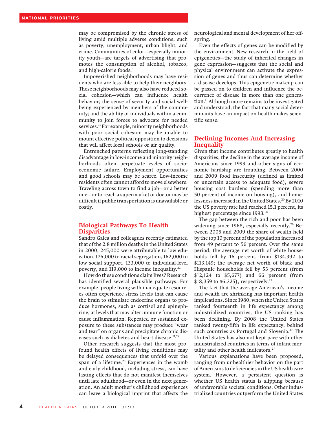may be compromised by the chronic stress of living amid multiple adverse conditions, such as poverty, unemployment, urban blight, and crime. Communities of color—especially minority youth—are targets of advertising that promotes the consumption of alcohol, tobacco, and high-calorie foods.<sup>5</sup>

Impoverished neighborhoods may have residents who are less able to help their neighbors. These neighborhoods may also have reduced social cohesion—which can influence health behavior; the sense of security and social wellbeing experienced by members of the community; and the ability of individuals within a community to join forces to advocate for needed services.<sup>11</sup> For example, minority neighborhoods with poor social cohesion may be unable to mount effective political opposition to decisions that will affect local schools or air quality.

Entrenched patterns reflecting long-standing disadvantage in low-income and minority neighborhoods often perpetuate cycles of socioeconomic failure. Employment opportunities and good schools may be scarce. Low-income residents often cannot afford to move elsewhere. Traveling across town to find a job—or a better one—or to reach a supermarket or doctor may be difficult if public transportation is unavailable or costly.

### Biological Pathways To Health **Disparities**

Sandro Galea and colleagues recently estimated that of the 2.8 million deaths in the United States in 2000, 245,000 were attributable to low education, 176,000 to racial segregation, 162,000 to low social support, 133,000 to individual-level poverty, and 119,000 to income inequality.23

How do these conditions claim lives? Research has identified several plausible pathways. For example, people living with inadequate resources often experience stress levels that can cause the brain to stimulate endocrine organs to produce hormones, such as cortisol and epinephrine, at levels that may alter immune function or cause inflammation. Repeated or sustained exposure to these substances may produce "wear and tear" on organs and precipitate chronic diseases such as diabetes and heart disease. $11,24$ 

Other research suggests that the most profound health effects of living conditions may be delayed consequences that unfold over the span of a lifetime. $25$  Experiences in the womb and early childhood, including stress, can have lasting effects that do not manifest themselves until late adulthood—or even in the next generation. An adult mother's childhood experiences can leave a biological imprint that affects the neurological and mental development of her offspring.

Even the effects of genes can be modified by the environment. New research in the field of epigenetics—the study of inherited changes in gene expression—suggests that the social and physical environment can activate the expression of genes and thus can determine whether a disease develops. This epigenetic makeup can be passed on to children and influence the occurrence of disease in more than one generation.11 Although more remains to be investigated and understood, the fact that many social determinants have an impact on health makes scientific sense.

### Declining Incomes And Increasing Inequality

Given that income contributes greatly to health disparities, the decline in the average income of Americans since 1999 and other signs of economic hardship are troubling. Between 2000 and 2009 food insecurity (defined as limited or uncertain access to adequate food), severe housing cost burdens (spending more than 50 percent of income on housing), and homelessness increased in the United States.<sup>20</sup> By 2010 the US poverty rate had reached 15.1 percent, its highest percentage since 1993.<sup>26</sup>

The gap between the rich and poor has been widening since 1968, especially recently.<sup>26</sup> Between 2005 and 2009 the share of wealth held by the top 10 percent of the population increased from 49 percent to 56 percent. Over the same period, the average net worth of white households fell by 16 percent, from \$134,992 to \$113,149; the average net worth of black and Hispanic households fell by 53 percent (from \$12,124 to \$5,677) and 66 percent (from \$18,359 to \$6,325), respectively.<sup>21</sup>

The fact that the average American's income and wealth are shrinking has important health implications. Since 1980, when the United States ranked fourteenth in life expectancy among industrialized countries, the US ranking has been declining. By 2008 the United States ranked twenty-fifth in life expectancy, behind such countries as Portugal and Slovenia.<sup>27</sup> The United States has also not kept pace with other industrialized countries in terms of infant mortality and other health indicators.<sup>27</sup>

Various explanations have been proposed, ranging from unhealthier behavior on the part of Americans to deficiencies in the US health care system. However, a persistent question is whether US health status is slipping because of unfavorable societal conditions. Other industrialized countries outperform the United States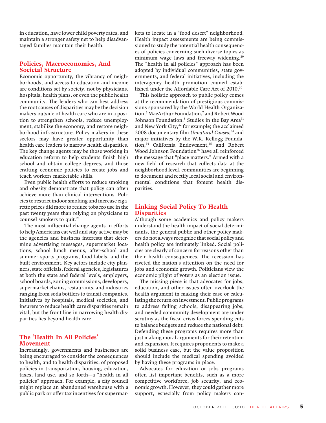in education, have lower child poverty rates, and maintain a stronger safety net to help disadvantaged families maintain their health.

## Policies, Macroeconomics, And Societal Structure

Economic opportunity, the vibrancy of neighborhoods, and access to education and income are conditions set by society, not by physicians, hospitals, health plans, or even the public health community. The leaders who can best address the root causes of disparities may be the decision makers outside of health care who are in a position to strengthen schools, reduce unemployment, stabilize the economy, and restore neighborhood infrastructure. Policy makers in these sectors may have greater opportunity than health care leaders to narrow health disparities. The key change agents may be those working in education reform to help students finish high school and obtain college degrees, and those crafting economic policies to create jobs and teach workers marketable skills.

Even public health efforts to reduce smoking and obesity demonstrate that policy can often achieve more than clinical interventions. Policies to restrict indoor smoking and increase cigarette prices did more to reduce tobacco use in the past twenty years than relying on physicians to counsel smokers to quit.<sup>28</sup>

The most influential change agents in efforts to help Americans eat well and stay active may be the agencies and business interests that determine advertising messages, supermarket locations, school lunch menus, after-school and summer sports programs, food labels, and the built environment. Key actors include city planners, state officials, federal agencies, legislatures at both the state and federal levels, employers, school boards, zoning commissions, developers, supermarket chains, restaurants, and industries ranging from soda bottlers to transit companies. Initiatives by hospitals, medical societies, and insurers to reduce health care disparities remain vital, but the front line in narrowing health disparities lies beyond health care.

# The 'Health In All Policies' Movement

Increasingly, governments and businesses are being encouraged to consider the consequences to health, and to health disparities, of proposed policies in transportation, housing, education, taxes, land use, and so forth—a "health in all policies" approach. For example, a city council might replace an abandoned warehouse with a public park or offer tax incentives for supermarkets to locate in a "food desert" neighborhood. Health impact assessments are being commissioned to study the potential health consequences of policies concerning such diverse topics as minimum wage laws and freeway widening.<sup>29</sup> The "health in all policies" approach has been adopted by individual communities, state governments, and federal initiatives, including the interagency health promotion council established under the Affordable Care Act of 2010.30

This holistic approach to public policy comes at the recommendation of prestigious commissions sponsored by the World Health Organization,<sup>6</sup> MacArthur Foundation,<sup>7</sup> and Robert Wood Johnson Foundation.<sup>8</sup> Studies in the Bay Area<sup>31</sup> and New York City,<sup>32</sup> for example; the acclaimed 2008 documentary film Unnatural Causes;<sup>33</sup> and major initiatives by the W.K. Kellogg Foundation,<sup>34</sup> California Endowment,<sup>35</sup> and Robert Wood Johnson Foundation<sup>36</sup> have all reinforced the message that "place matters." Armed with a new field of research that collects data at the neighborhood level, communities are beginning to document and rectify local social and environmental conditions that foment health disparities.

## Linking Social Policy To Health **Disparities**

Although some academics and policy makers understand the health impact of social determinants, the general public and other policy makers do not always recognize that social policy and health policy are intimately linked. Social policies are clearly of concern for reasons other than their health consequences. The recession has riveted the nation's attention on the need for jobs and economic growth. Politicians view the economic plight of voters as an election issue.

The missing piece is that advocates for jobs, education, and other issues often overlook the health argument in making their case or calculating the return on investment. Public programs to address failing schools, disappearing jobs, and needed community development are under scrutiny as the fiscal crisis forces spending cuts to balance budgets and reduce the national debt. Defending these programs requires more than just making moral arguments for their retention and expansion. It requires proponents to make a solid business case, but the value proposition should include the medical spending avoided by having these programs in place.

Advocates for education or jobs programs often list important benefits, such as a more competitive workforce, job security, and economic growth. However, they could gather more support, especially from policy makers con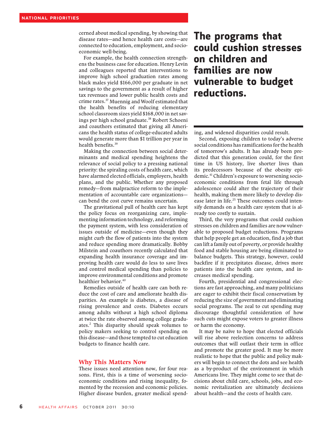cerned about medical spending, by showing that disease rates—and hence health care costs—are connected to education, employment, and socioeconomic well-being.

For example, the health connection strengthens the business case for education. Henry Levin and colleagues reported that interventions to improve high school graduation rates among black males yield \$166,000 per graduate in net savings to the government as a result of higher tax revenues and lower public health costs and crime rates.<sup>37</sup> Muennig and Woolf estimated that the health benefits of reducing elementary school classroom sizes yield \$168,000 in net savings per high school graduate.<sup>38</sup> Robert Schoeni and coauthors estimated that giving all Americans the health status of college-educated adults would generate more than \$1 trillion per year in health benefits.39

Making the connection between social determinants and medical spending heightens the relevance of social policy to a pressing national priority: the spiraling costs of health care, which have alarmed elected officials, employers, health plans, and the public. Whether any proposed remedy—from malpractice reform to the implementation of accountable care organizations can bend the cost curve remains uncertain.

The gravitational pull of health care has kept the policy focus on reorganizing care, implementing information technology, and reforming the payment system, with less consideration of issues outside of medicine—even though they might curb the flow of patients into the system and reduce spending more dramatically. Bobby Milstein and coauthors recently calculated that expanding health insurance coverage and improving health care would do less to save lives and control medical spending than policies to improve environmental conditions and promote healthier behavior.<sup>40</sup>

Remedies outside of health care can both reduce the cost of care and ameliorate health disparities. An example is diabetes, a disease of rising prevalence and costs. Diabetes occurs among adults without a high school diploma at twice the rate observed among college graduates.2 This disparity should speak volumes to policy makers seeking to control spending on this disease—and those tempted to cut education budgets to finance health care.

#### Why This Matters Now

These issues need attention now, for four reasons. First, this is a time of worsening socioeconomic conditions and rising inequality, fomented by the recession and economic policies. Higher disease burden, greater medical spend-

# The programs that could cushion stresses on children and families are now vulnerable to budget reductions.

ing, and widened disparities could result.

Second, exposing children to today's adverse social conditions has ramifications for the health of tomorrow's adults. It has already been predicted that this generation could, for the first time in US history, live shorter lives than its predecessors because of the obesity epidemic.41 Children's exposure to worsening socioeconomic conditions from fetal life through adolescence could alter the trajectory of their health, making them more likely to develop disease later in life.<sup>25</sup> These outcomes could intensify demands on a health care system that is already too costly to sustain.

Third, the very programs that could cushion stresses on children and families are now vulnerable to proposed budget reductions. Programs that help people get an education, find a job that can lift a family out of poverty, or provide healthy food and stable housing are being eliminated to balance budgets. This strategy, however, could backfire if it precipitates disease, drives more patients into the health care system, and increases medical spending.

Fourth, presidential and congressional elections are fast approaching, and many politicians are eager to exhibit their fiscal conservatism by reducing the size of government and eliminating social programs. The zeal to cut spending may discourage thoughtful consideration of how such cuts might expose voters to greater illness or harm the economy.

It may be naïve to hope that elected officials will rise above reelection concerns to address outcomes that will outlast their term in office and promote the greater good. It may be more realistic to hope that the public and policy makers will begin to connect the dots and see health as a by-product of the environment in which Americans live. They might come to see that decisions about child care, schools, jobs, and economic revitalization are ultimately decisions about health—and the costs of health care.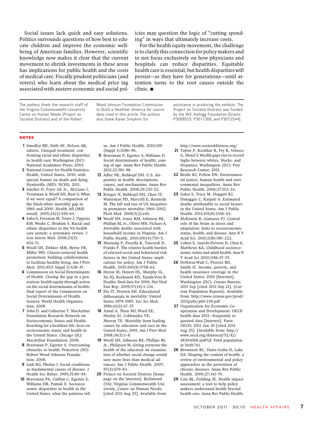Social issues lack quick and easy solutions. Politics surrounds questions of how best to educate children and improve the economic wellbeing of American families. However, scientific knowledge now makes it clear that the current movement to shrink investments in these areas has implications for public health and the costs of medical care. Fiscally prudent politicians (and voters) who learn about the medical price tag associated with austere economic and social policies may question the logic of "cutting spending" in ways that ultimately increase costs.

For the health equity movement, the challenge is to clarify this connection for policy makers and to not focus exclusively on how physicians and hospitals can reduce disparities. Equitable health care is essential, but health disparities will persist—as they have for generations—until attention turns to the root causes outside the clinic. ▪

The authors thank the research staff of the Virginia Commonwealth University Center on Human Needs (Project on Societal Distress) and of the Robert

Wood Johnson Foundation Commission to Build a Healthier America for source data cited in this article. The authors also thank Karen Simpkins for

assistance in producing the exhibits. The Project on Societal Distress was funded by the W.K. Kellogg Foundation (Grants P3008553, P3011306, and P3015544).

#### NOTES

- 1 Smedley BD, Stith AY, Nelson AR, editors. Unequal treatment: confronting racial and ethnic disparities in health care. Washington (DC): National Academies Press; 2003.
- 2 National Center for Health Statistics. Health, United States, 2010: with special feature on death and dying. Hyattsville (MD): NCHS; 2011.
- 3 Satcher D, Frver GE Jr., McCann J, Troutman A, Woolf SH, Rust G.What if we were equal? A comparison of the black-white mortality gap in 1960 and 2000. Health Aff (Millwood). 2005;24(2):459–64.
- 4 Saha S, Freeman M, Toure J, Tippens KM, Weeks C, Ibrahim S. Racial and ethnic disparities in the VA health care system: a systematic review. J Gen Intern Med. 2008;23(5): 654–71.
- 5 Woolf SH, Dekker MM, Byrne FR, Miller WD. Citizen-centered health promotion: building collaborations to facilitate healthy living. Am J Prev Med. 2011;40(1 Suppl 1):S38–47.
- 6 Commission on Social Determinants of Health. Closing the gap in a generation: health equity through action on the social determinants of health; final report of the Commission on Social Determinants of Health. Geneva: World Health Organization; 2008.
- 7 John D. and Catherine T. MacArthur Foundation Research Network on Socioeconomic Status and Health. Reaching for a healthier life: facts on socieconomic status and health in the United States. Chicago (IL): MacArthur Foundation; 2008.
- 8 Braveman P, Egerter S. Overcoming obstacles to health. Princeton (NJ): Robert Wood Johnson Foundation; 2008.
- 9 Link BG, Phelan J. Social conditions as fundamental causes of disease. J Health Soc Behav. 1995;35:80–94.
- 10 Braveman PA, Cubbin C, Egerter S, Williams DR, Pamuk E. Socioeconomic disparities in health in the United States: what the patterns tell

us. Am J Public Health. 2010;100 (Suppl 1):S186–96.

- 11 Braveman P, Egerter S, Williams D. Social determinants of health: coming of age. Annu Rev Public Health. 2011;32:381–98.
- 12 Adler NE, Rehkopf DH. U.S. disparities in health: descriptions, causes, and mechanisms. Annu Rev Public Health. 2008;29:235–52.
- 13 Krieger N, Rehkopf DH, Chen JT, Waterman PD, Marcelli E, Kennedy M. The fall and rise of US inequities in premature mortality: 1960–2002. PLoS Med. 2008;5(2):e46.
- 14 Woolf SH, Jones RM, Johnson RE, Phillips RL Jr., Oliver MN, Vichare A. Avertable deaths associated with household income in Virginia. Am J Public Health. 2010;100(4):750–5.
- 15 Muennig P, Fiscella K, Tancredi D, Franks P. The relative health burden of selected social and behavioral risk factors in the United States: implications for policy. Am J Public Health. 2010;100(9):1758–64.
- 16 Heron M, Hoyert DL, Murphy SL, Xu JQ, Kochanek KD, Tejada-Vera B. Deaths: final data for 2006. Nat Vital Stat Rep. 2009;57(14):1–134.
- 17 Elo IT, Preston SH. Educational differentials in mortality: United States 1979–1985. Soc Sci Med. 1996;42(1):47–57.
- 18 Jemal A, Thun MJ, Ward EE, Henley SJ, Cokkinides VE, Murray TE. Mortality from leading causes by education and race in the United States, 2001. Am J Prev Med. 2008;34(1):1–8.
- 19 Woolf SH, Johnson RE, Phillips RL Jr., Philipsen M. Giving everyone the health of the educated: an examination of whether social change would save more lives than medical advances. Am J Public Health. 2007; 97(4):679–83.
- 20 Project on Societal Distress [home page on the Internet]. Richmond (VA): Virginia Commonwealth University, Center on Human Needs; [cited 2011 Aug 25]. Available from:

http://www.societaldistress.org/

- 21 Taylor P, Kochhar R, Fry R, Velasco G, Motel S.Wealth gaps rise to record highs between whites, blacks, and Hispanics. Washington (DC): Pew Research Center; 2011.
- 22 Brulle RJ, Pellow DN. Environmental justice: human health and environmental inequalities. Annu Rev Public Health. 2006;27:103–24.
- 23 Galea S, Tracy M, Hoggatt KJ, Dimaggio C, Karpati A. Estimated deaths attributable to social factors in the United States. Am J Public Health. 2011;101(8):1456–65.
- 24 McKewen B, Gianaros PJ. Central role of the brain in stress and adaptation: links to socioeconomic status, health, and disease. Ann N Y Acad Sci. 2010;1186:190–222.
- 25 Cohen S, Janicki-Deverts D, Chen E, Matthews KA. Childhood socioeconomic status and adult health. Ann N Y Acad Sci 2010;1186:37–55.
- 26 DeNavas-Walt C, Proctor BD, Smith JC. Income, poverty, and health insurance coverage in the United States: 2010 [Internet]. Washington (DC): Census Bureau; 2011 Sep [cited 2011 Sep 21]. (Current Population Reports). Available from: http://www.census.gov/prod/ 2011pubs/p60-239.pdf
- 27 Organization for Economic Cooperation and Development. OECD health data 2011—frequently requested data [Internet]. Paris: OECD; 2011 Jun 30 [cited 2011 Aug 25]. [Available from: http:// www.oecd.org/dataoecd/52/42/ 48304068.xls#'LE Total population at birth'!A1
- 28 Brownson RC, Haire-Joshu D, Luke DA. Shaping the context of health: a review of environmental and policy approaches in the prevention of chronic diseases. Annu Rev Public Health. 2006;27:341–70.
- 29 Cole BL, Fielding JE. Health impact assessment: a tool to help policy makers understand health beyond health care. Annu Rev Public Health.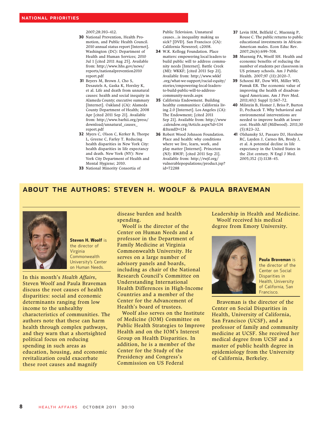#### 2007;28:393–412.

- 30 National Prevention, Health Promotion, and Public Health Council. 2010 annual status report [Internet]. Washington (DC): Department of Health and Human Services; 2010 Jul 1 [cited 2011 Aug 25]. Available from: http://www.hhs.gov/news/ reports/nationalprevention2010 report.pdf
- 31 Beyers M, Brown J, Cho S, Desautels A, Gaska K, Horsley K, et al. Life and death from unnatural causes: health and social inequity in Alameda County; executive summary [Internet]. Oakland (CA): Alameda County Department of Health; 2008 Apr [cited 2011 Sep 21]. Available from: http://www.barhii.org/press/ download/unnatural\_causes\_ report.pdf
- 32 Myers C, Olson C, Kerker B, Thorpe L, Greene C, Farley T. Reducing health disparities in New York City: health disparities in life expectancy and death. New York (NY): New York City Department of Health and Mental Hygiene; 2010.
- 33 National Minority Consortia of

Public Television. Unnatural causes…is inequality making us sick? [DVD]. San Francisco (CA): California Newsreel; c2008.

- 34 W.K. Kellogg Foundation. Place matters: empowering local leaders to build public will to address community needs [Internet]. Battle Creek (MI): WKKF; [cited 2011 Sep 21]. Available from: http://www.wkkf .org/what-we-support/racial-equity/ stories/empowering-local-leadersto-build-public-will-to-addresscommunity-needs.aspx
- 35 California Endowment. Building healthy communities: California living 2.0 [Internet]. Los Angeles (CA): The Endowment; [cited 2011 Sep 21]. Available from: http://www .calendow.org/Article.aspx?id=134  $&$ ItemID=134
- 36 Robert Wood Johnson Foundation. Place and health: why conditions where we live, learn, work, and play matter [Internet]. Princeton (NJ): RWJF; [cited 2011 Sep 21]. Available from: http://rwjf.org/ vulnerablepopulations/product.jsp? id=72288
- 37 Levin HM, Belfield C, Muennig P, Rouse C. The public returns to public educational investments in African-American males. Econ Educ Rev. 2007;26(6):699–708.
- 38 Muennig PA, Woolf SH. Health and economic benefits of reducing the number of students per classroom in US primary schools. Am J Public Health. 2007;97 (11):2020–7.
- 39 Schoeni RF, Dow WH, Miller WD, Pamuk ER. The economic value of improving the health of disadvantaged Americans. Am J Prev Med. 2011;40(1 Suppl 1):S67–72.
- 40 Milstein B, Homer J, Briss P, Burton D, Pechacek T. Why behavioral and environmental interventions are needed to improve health at lower cost. Health Aff (Millwood). 2011;30 (5):823–32.
- 41 Olshansky SJ, Passaro DJ, Hershow RC, Layden J, Carnes BA, Brody J, et al. A potential decline in life expectancy in the United States in the 21st century. N Engl J Med. 2005;352 (1):1138–45.

# ABOUT THE AUTHORS: STEVEN H. WOOLF & PAULA BRAVEMAN



Steven H. Woolf is the director of Virginia **Commonwealth** University's Center on Human Needs.

In this month's Health Affairs, Steven Woolf and Paula Braveman discuss the root causes of health disparities: social and economic determinants ranging from low income to the unhealthy characteristics of communities. The authors note that these can harm health through complex pathways, and they warn that a shortsighted political focus on reducing spending in such areas as education, housing, and economic revitalization could exacerbate these root causes and magnify

disease burden and health spending.

Woolf is the director of the Center on Human Needs and a professor in the Department of Family Medicine at Virginia Commonwealth University. He serves on a large number of advisory panels and boards, including as chair of the National Research Council's Committee on Understanding International Health Differences in High-Income Countries and a member of the Center for the Advancement of Health's board of trustees.

Woolf also serves on the Institute of Medicine (IOM) Committee on Public Health Strategies to Improve Health and on the IOM's Interest Group on Health Disparities. In addition, he is a member of the Center for the Study of the Presidency and Congress's Commission on US Federal

Leadership in Health and Medicine. Woolf received his medical degree from Emory University.



Paula Braveman is the director of the Center on Social Disparities in Health, University of California, San Francisco.

Braveman is the director of the Center on Social Disparities in Health, University of California, San Francisco (UCSF), and a professor of family and community medicine at UCSF. She received her medical degree from UCSF and a master of public health degree in epidemiology from the University of California, Berkeley.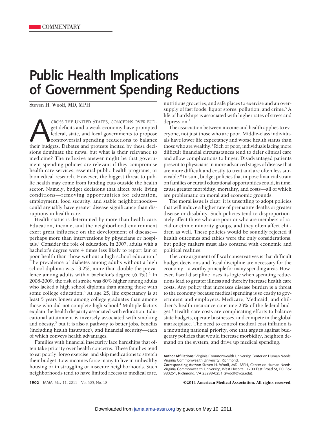# **Public Health Implications of Government Spending Reductions**

Steven H. Woolf, MD, MPH

CROSS THE UNITED STATES, CONCERNS OVER BUD-<br>get deficits and a weak economy have prompted<br>federal, state, and local governments to propose<br>their budgets. Debates and protests incited by these deciget deficits and a weak economy have prompted federal, state, and local governments to propose controversial spending reductions to balance sions dominate the news, but what is their relevance to medicine? The reflexive answer might be that government spending policies are relevant if they compromise health care services, essential public health programs, or biomedical research. However, the biggest threat to public health may come from funding cuts outside the health sector. Namely, budget decisions that affect basic living conditions—removing opportunities for education, employment, food security, and stable neighborhoods could arguably have greater disease significance than disruptions in health care.

Health status is determined by more than health care. Education, income, and the neighborhood environment exert great influence on the development of disease perhaps more than interventions by physicians or hospitals.<sup>1</sup> Consider the role of education. In 2007, adults with a bachelor's degree were 4 times less likely to report fair or poor health than those without a high school education.<sup>2</sup> The prevalence of diabetes among adults without a high school diploma was 13.2%, more than double the prevalence among adults with a bachelor's degree  $(6.4\%)$ .<sup>2</sup> In 2008-2009, the risk of stroke was 80% higher among adults who lacked a high school diploma than among those with some college education.<sup>3</sup> At age 25, life expectancy is at least 5 years longer among college graduates than among those who did not complete high school.<sup>4</sup> Multiple factors explain the health disparity associated with education. Educational attainment is inversely associated with smoking and obesity, $3$  but it is also a pathway to better jobs, benefits (including health insurance), and financial security—each of which conveys health advantages.

Families with financial insecurity face hardships that often take priority over health concerns. These families tend to eat poorly, forgo exercise, and skip medications to stretch their budget. Low incomes force many to live in unhealthy housing or in struggling or insecure neighborhoods. Such neighborhoods tend to have limited access to medical care,

nutritious groceries, and safe places to exercise and an oversupply of fast foods, liquor stores, pollution, and crime.<sup>5</sup> A life of hardships is associated with higher rates of stress and depression.<sup>2</sup>

The association between income and health applies to everyone, not just those who are poor. Middle-class individuals have lower life expectancy and worse health status than those who are wealthy.<sup>4</sup> Rich or poor, individuals facing more difficult financial circumstances tend to defer clinical care and allow complications to linger. Disadvantaged patients present to physicians in more advanced stages of disease that are more difficult and costly to treat and are often less survivable.<sup>6</sup> In sum, budget policies that impose financial strain on families or curtail educational opportunities could, in time, cause greater morbidity, mortality, and costs—all of which are problematic on moral and economic grounds.

The moral issue is clear: it is unsettling to adopt policies that will induce a higher rate of premature deaths or greater disease or disability. Such policies tend to disproportionately affect those who are poor or who are members of racial or ethnic minority groups, and they often affect children as well. These policies would be soundly rejected if health outcomes and ethics were the only considerations, but policy makers must also contend with economic and political realities.

The core argument of fiscal conservatives is that difficult budget decisions and fiscal discipline are necessary for the economy—a worthy principle for many spending areas. However, fiscal discipline loses its logic when spending reductions lead to greater illness and thereby increase health care costs. Any policy that increases disease burden is a threat to the economy because medical spending is so costly to government and employers. Medicare, Medicaid, and children's health insurance consume 23% of the federal budget.7 Health care costs are complicating efforts to balance state budgets, operate businesses, and compete in the global marketplace. The need to control medical cost inflation is a mounting national priority, one that argues against budgetary policies that would increase morbidity, heighten demand on the system, and drive up medical spending.

**1902** JAMA, May 11, 2011—Vol 305, No. 18 **COLL American Medical Association. All rights reserved.** 

**Author Affiliations:** Virginia Commonwealth University Center on Human Needs, Virginia Commonwealth University, Richmond.

**Corresponding Author:** Steven H. Woolf, MD, MPH, Center on Human Needs, Virginia Commonwealth University, West Hospital, 1200 East Broad St, PO Box 980251, Richmond, VA 23298-0251 (swoolf@vcu.edu).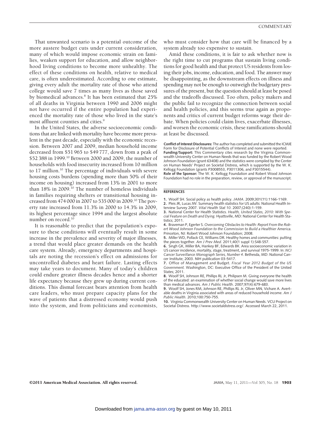That unwanted scenario is a potential outcome of the more austere budget cuts under current consideration, many of which would impose economic strain on families, weaken support for education, and allow neighborhood living conditions to become more unhealthy. The effect of these conditions on health, relative to medical care, is often underestimated. According to one estimate, giving every adult the mortality rate of those who attend college would save 7 times as many lives as those saved by biomedical advances.<sup>8</sup> It has been estimated that 25% of all deaths in Virginia between 1990 and 2006 might not have occurred if the entire population had experienced the mortality rate of those who lived in the state's most affluent counties and cities.<sup>9</sup>

In the United States, the adverse socioeconomic conditions that are linked with mortality have become more prevalent in the past decade, especially with the economic recession. Between 2007 and 2009, median household income decreased from \$51 965 to \$49 777, down from a peak of \$52 388 in 1999.10 Between 2000 and 2009, the number of households with food insecurity increased from 10 million to 17 million.<sup>10</sup> The percentage of individuals with severe housing costs burdens (spending more than 50% of their income on housing) increased from 13% in 2001 to more than 18% in 2009.10 The number of homeless individuals in families requiring shelters or transitional housing increased from 474 000 in 2007 to 535 000 in 2009.10 The poverty rate increased from 11.3% in 2000 to 14.3% in 2009, its highest percentage since 1994 and the largest absolute number on record.10

It is reasonable to predict that the population's exposure to these conditions will eventually result in some increase in the prevalence and severity of major illnesses, a trend that would place greater demands on the health care system. Already, emergency departments and hospitals are noting the recession's effect on admissions for uncontrolled diabetes and heart failure. Lasting effects may take years to document. Many of today's children could endure greater illness decades hence and a shorter life expectancy because they grew up during current conditions. This dismal forecast bears attention from health care leaders, who must prepare capacity plans for the wave of patients that a distressed economy would push into the system, and from politicians and economists,

who must consider how that care will be financed by a system already too expensive to sustain.

Amid these conditions, it is fair to ask whether now is the right time to cut programs that sustain living conditions for good health and that protect US residents from losing their jobs, income, education, and food. The answer may be disappointing, as the downstream effects on illness and spending may not be enough to outweigh the budgetary pressures of the present, but the question should at least be posed and the tradeoffs discussed. Too often, policy makers and the public fail to recognize the connection between social and health policies, and this seems true again as proponents and critics of current budget reforms wage their debate. When policies could claim lives, exacerbate illnesses, and worsen the economic crisis, these ramifications should at least be discussed.

**Conflict of Interest Disclosures:** The author has completed and submitted the ICMJE Form for Disclosure of Potential Conflicts of Interest and none were reported. Funding/Support: This Commentary cites research by the Virginia Commonwealth University Center on Human Needs that was funded by the Robert Wood Johnson Foundation (grant 63408) and the statistics were compiled by the Center on Human Needs' Project on Societal Distress, which is supported by the W. K. Kellogg Foundation (grants P3008553, P3011306, and P3015544). **Role of the Sponsor:** The W. K. Kellogg Foundation and Robert Wood Johnson

Foundation had no role in the preparation, review, or approval of the manuscript.

#### **REFERENCES**

**1.** Woolf SH. Social policy as health policy. *JAMA*. 2009;301(11):1166-1169. **2.** Pleis JR, Lucas JW. Summary health statistics for US adults: National Health In-

terview Survey 2007. *Vital Health Stat 10*. 2007;(240):1-159.

**3.** National Center for Health Statistics. *Health, United States, 2010: With Special Feature on Death and Dying.* Hyattsville, MD: National Center for Health Statistics; 2011.

**4.** Braveman P, Egerter S. *Overcoming Obstacles to Health: Report From the Robert Wood Johnson Foundation to the Commission to Build a Healthier America.* Princeton, NJ: Robert Wood Johnson Foundation; 2008.

**5.** Miller WD, Pollack CE, Williams DR. Healthy homes and communities: putting the pieces together. *Am J Prev Med*. 2011;40(1 suppl 1):S48-S57.

**6.** Singh GK, Miller BA, Hankey BF, Edwards BK. Area socioeconomic variation in US cancer incidence, mortality, stage, treatment, and survival 1975-1999. In: *NCI Cancer Surveillance Monograph Series, Number 4*. Bethesda, MD: National Cancer Institute; 2003. NIH publication 03-5417.

**7.** Office of Management and Budget. *Fiscal Year 2012 Budget of the US Government.* Washington, DC: Executive Office of the President of the United States; 2011.

**8.** Woolf SH, Johnson RE, Phillips RL Jr, Philipsen M. Giving everyone the health of the educated: an examination of whether social change would save more lives than medical advances. *Am J Public Health*. 2007;97(4):679-683.

**9.** Woolf SH, Jones RM, Johnson RE, Phillips RL Jr, Oliver MN, Vichare A. Avertable deaths in Virginia associated with areas of reduced household income. *Am J Public Health*. 2010;100:750-755.

**10.** Virginia Commonwealth University Center on Human Needs. VCU Project on Societal Distress. http://www.societaldistress.org/. Accessed March 22, 2011.

©2011 American Medical Association. All rights reserved. JAMA, May 11, 2011—Vol 305, No. 18 **1903**